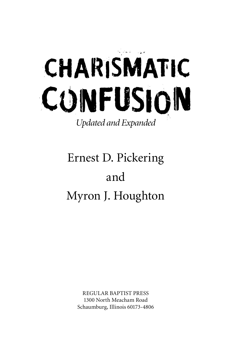

## Ernest D. Pickering and Myron J. Houghton

REGULAR BAPTIST PRESS 1300 North Meacham Road Schaumburg, Illinois 60173-4806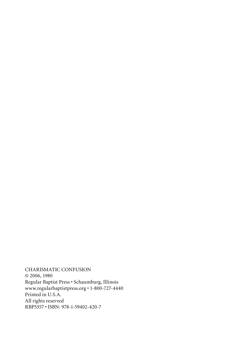CHARISMATIC CONFUSION © 2006, 1980 Regular Baptist Press • Schaumburg, Illinois www.regularbaptistpress.org • 1-800-727-4440 Printed in U.S.A. All rights reserved RBP5357 • ISBN: 978-1-59402-420-7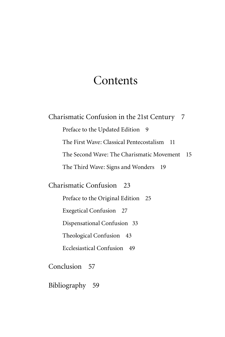#### **Contents**

Charismatic Confusion in the 21st Century 7 Preface to the Updated Edition 9 The First Wave: Classical Pentecostalism 11 The Second Wave: The Charismatic Movement 15 The Third Wave: Signs and Wonders 19

Charismatic Confusion 23

Preface to the Original Edition 25

Exegetical Confusion 27

Dispensational Confusion 33

Theological Confusion 43

Ecclesiastical Confusion 49

Conclusion 57

Bibliography 59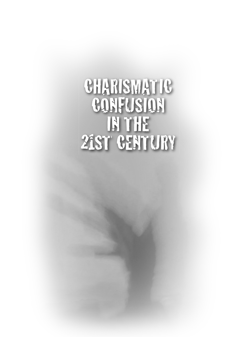# **CHARISMATIC** CONFUSION IN THE 21ST CENTURY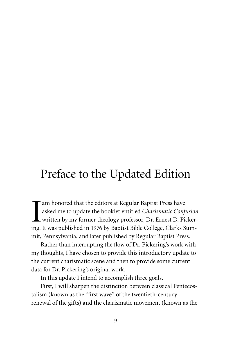### Preface to the Updated Edition

I am honored that the editors at Regular Baptist Press have asked me to update the booklet entitled *Charismatic Confusion* written by my former theology professor, Dr. Ernest D. Pickering. It was published in 1976 by Baptist Bible College, Clarks Summit, Pennsylvania, and later published by Regular Baptist Press.

Rather than interrupting the flow of Dr. Pickering's work with my thoughts, I have chosen to provide this introductory update to the current charismatic scene and then to provide some current data for Dr. Pickering's original work.

In this update I intend to accomplish three goals.

First, I will sharpen the distinction between classical Pentecostalism (known as the "first wave" of the twentieth-century renewal of the gifts) and the charismatic movement (known as the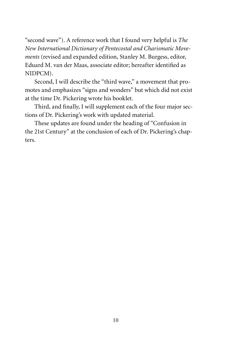"second wave"). A reference work that I found very helpful is *The New International Dictionary of Pentecostal and Charismatic Movements* (revised and expanded edition, Stanley M. Burgess, editor, Eduard M. van der Maas, associate editor; hereafter identified as NIDPCM).

Second, I will describe the "third wave," a movement that promotes and emphasizes "signs and wonders" but which did not exist at the time Dr. Pickering wrote his booklet.

Third, and finally, I will supplement each of the four major sections of Dr. Pickering's work with updated material.

These updates are found under the heading of "Confusion in the 21st Century" at the conclusion of each of Dr. Pickering's chapters.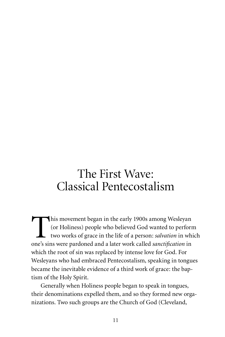### The First Wave: Classical Pentecostalism

This movement began in the early 1900s among Wesleyan<br>(or Holiness) people who believed God wanted to perform<br>two works of grace in the life of a person: *salvation* in wh<br>one's sins were pardoned and a later work called (or Holiness) people who believed God wanted to perform two works of grace in the life of a person: *salvation* in which one's sins were pardoned and a later work called *sanctification* in which the root of sin was replaced by intense love for God. For Wesleyans who had embraced Pentecostalism, speaking in tongues became the inevitable evidence of a third work of grace: the baptism of the Holy Spirit.

Generally when Holiness people began to speak in tongues, their denominations expelled them, and so they formed new organizations. Two such groups are the Church of God (Cleveland,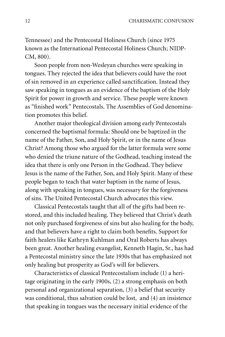Tennessee) and the Pentecostal Holiness Church (since 1975 known as the International Pentecostal Holiness Church; NIDP-CM, 800).

Soon people from non-Wesleyan churches were speaking in tongues. They rejected the idea that believers could have the root of sin removed in an experience called sanctification. Instead they saw speaking in tongues as an evidence of the baptism of the Holy Spirit for power in growth and service. These people were known as "finished work" Pentecostals. The Assemblies of God denomination promotes this belief.

Another major theological division among early Pentecostals concerned the baptismal formula: Should one be baptized in the name of the Father, Son, and Holy Spirit, or in the name of Jesus Christ? Among those who argued for the latter formula were some who denied the triune nature of the Godhead, teaching instead the idea that there is only one Person in the Godhead. They believe Jesus is the name of the Father, Son, and Holy Spirit. Many of these people began to teach that water baptism in the name of Jesus, along with speaking in tongues, was necessary for the forgiveness of sins. The United Pentecostal Church advocates this view.

Classical Pentecostals taught that all of the gifts had been restored, and this included healing. They believed that Christ's death not only purchased forgiveness of sins but also healing for the body, and that believers have a right to claim both benefits. Support for faith healers like Kathryn Kuhlman and Oral Roberts has always been great. Another healing evangelist, Kenneth Hagin, Sr., has had a Pentecostal ministry since the late 1930s that has emphasized not only healing but prosperity as God's will for believers.

Characteristics of classical Pentecostalism include (1) a heritage originating in the early 1900s, (2) a strong emphasis on both personal and organizational separation, (3) a belief that security was conditional, thus salvation could be lost, and (4) an insistence that speaking in tongues was the necessary initial evidence of the